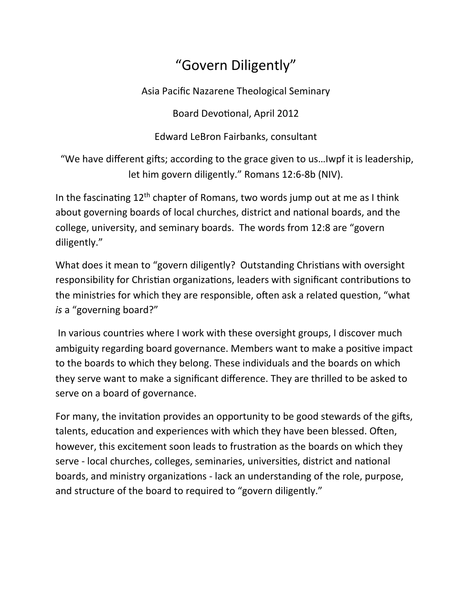## "Govern Diligently"

Asia Pacific Nazarene Theological Seminary

Board Devotional, April 2012

Edward LeBron Fairbanks, consultant

"We have different gifts; according to the grace given to us...Iwpf it is leadership, let him govern diligently." Romans 12:6-8b (NIV).

In the fascinating  $12<sup>th</sup>$  chapter of Romans, two words jump out at me as I think about governing boards of local churches, district and national boards, and the college, university, and seminary boards. The words from 12:8 are "govern diligently."

What does it mean to "govern diligently? Outstanding Christians with oversight responsibility for Christian organizations, leaders with significant contributions to the ministries for which they are responsible, often ask a related question, "what *is* a "governing board?"

In various countries where I work with these oversight groups, I discover much ambiguity regarding board governance. Members want to make a positive impact to the boards to which they belong. These individuals and the boards on which they serve want to make a significant difference. They are thrilled to be asked to serve on a board of governance.

For many, the invitation provides an opportunity to be good stewards of the gifts, talents, education and experiences with which they have been blessed. Often, however, this excitement soon leads to frustration as the boards on which they serve - local churches, colleges, seminaries, universities, district and national boards, and ministry organizations - lack an understanding of the role, purpose, and structure of the board to required to "govern diligently."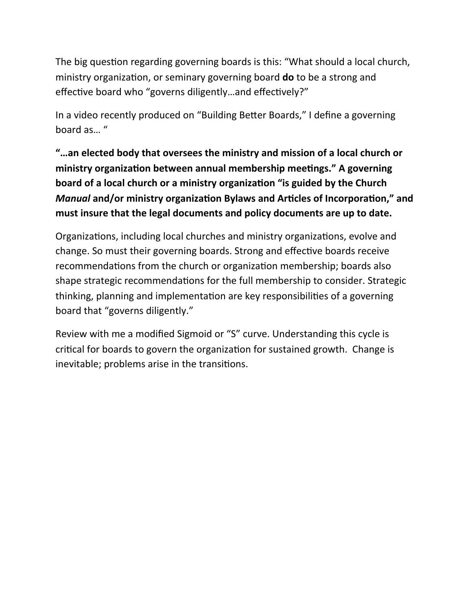The big question regarding governing boards is this: "What should a local church, ministry organization, or seminary governing board **do** to be a strong and effective board who "governs diligently...and effectively?"

In a video recently produced on "Building Better Boards," I define a governing board as... "

"...an elected body that oversees the ministry and mission of a local church or ministry organization between annual membership meetings." A governing **board of a local church or a ministry organization "is guided by the Church** *Manual* and/or ministry organization Bylaws and Articles of Incorporation," and must insure that the legal documents and policy documents are up to date.

Organizations, including local churches and ministry organizations, evolve and change. So must their governing boards. Strong and effective boards receive recommendations from the church or organization membership; boards also shape strategic recommendations for the full membership to consider. Strategic thinking, planning and implementation are key responsibilities of a governing board that "governs diligently."

Review with me a modified Sigmoid or "S" curve. Understanding this cycle is critical for boards to govern the organization for sustained growth. Change is inevitable; problems arise in the transitions.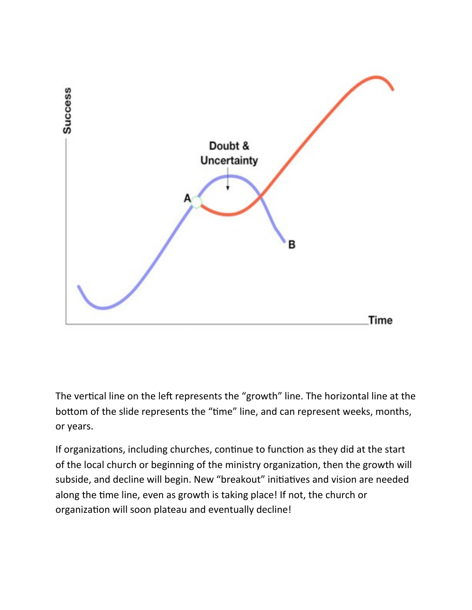

The vertical line on the left represents the "growth" line. The horizontal line at the bottom of the slide represents the "time" line, and can represent weeks, months, or years.

If organizations, including churches, continue to function as they did at the start of the local church or beginning of the ministry organization, then the growth will subside, and decline will begin. New "breakout" initiatives and vision are needed along the time line, even as growth is taking place! If not, the church or organization will soon plateau and eventually decline!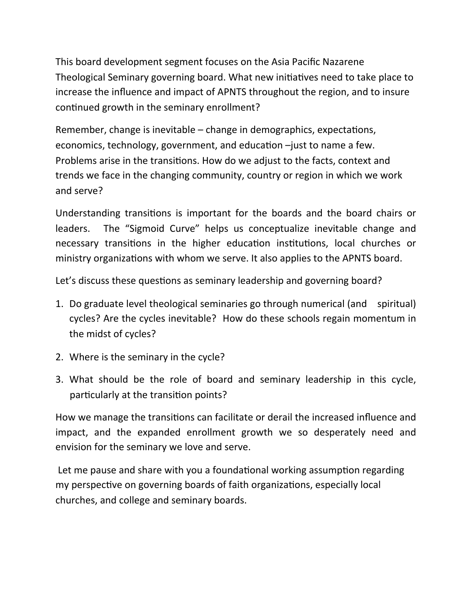This board development segment focuses on the Asia Pacific Nazarene Theological Seminary governing board. What new initiatives need to take place to increase the influence and impact of APNTS throughout the region, and to insure continued growth in the seminary enrollment?

Remember, change is inevitable  $-$  change in demographics, expectations, economics, technology, government, and education  $-$ just to name a few. Problems arise in the transitions. How do we adjust to the facts, context and trends we face in the changing community, country or region in which we work and serve?

Understanding transitions is important for the boards and the board chairs or leaders. The "Sigmoid Curve" helps us conceptualize inevitable change and necessary transitions in the higher education institutions, local churches or ministry organizations with whom we serve. It also applies to the APNTS board.

Let's discuss these questions as seminary leadership and governing board?

- 1. Do graduate level theological seminaries go through numerical (and spiritual) cycles? Are the cycles inevitable? How do these schools regain momentum in the midst of cycles?
- 2. Where is the seminary in the cycle?
- 3. What should be the role of board and seminary leadership in this cycle, particularly at the transition points?

How we manage the transitions can facilitate or derail the increased influence and impact, and the expanded enrollment growth we so desperately need and envision for the seminary we love and serve.

Let me pause and share with you a foundational working assumption regarding my perspective on governing boards of faith organizations, especially local churches, and college and seminary boards.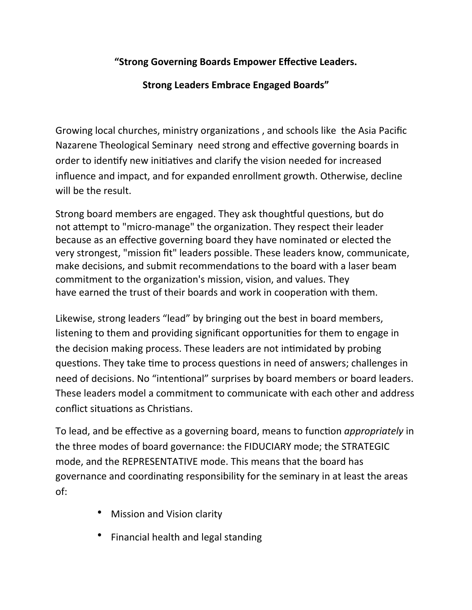## "Strong Governing Boards Empower Effective Leaders.

## **Strong Leaders Embrace Engaged Boards"**

Growing local churches, ministry organizations, and schools like the Asia Pacific Nazarene Theological Seminary need strong and effective governing boards in order to identify new initiatives and clarify the vision needed for increased influence and impact, and for expanded enrollment growth. Otherwise, decline will be the result.

Strong board members are engaged. They ask thoughtful questions, but do not attempt to "micro-manage" the organization. They respect their leader because as an effective governing board they have nominated or elected the very strongest, "mission fit" leaders possible. These leaders know, communicate, make decisions, and submit recommendations to the board with a laser beam commitment to the organization's mission, vision, and values. They have earned the trust of their boards and work in cooperation with them.

Likewise, strong leaders "lead" by bringing out the best in board members, listening to them and providing significant opportunities for them to engage in the decision making process. These leaders are not intimidated by probing questions. They take time to process questions in need of answers; challenges in need of decisions. No "intentional" surprises by board members or board leaders. These leaders model a commitment to communicate with each other and address conflict situations as Christians.

To lead, and be effective as a governing board, means to function *appropriately* in the three modes of board governance: the FIDUCIARY mode; the STRATEGIC mode, and the REPRESENTATIVE mode. This means that the board has governance and coordinating responsibility for the seminary in at least the areas of:

- Mission and Vision clarity
- Financial health and legal standing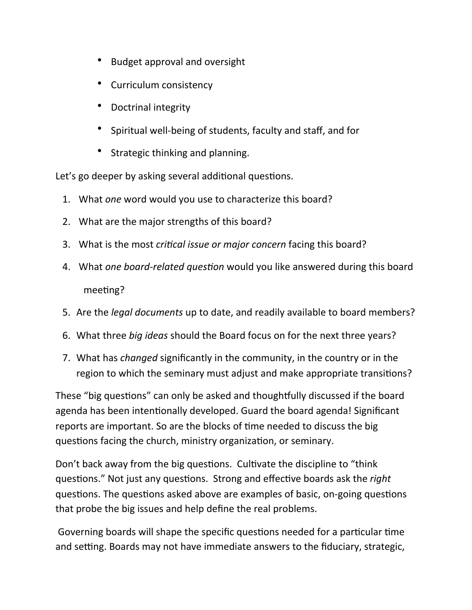- **Budget approval and oversight**
- Curriculum consistency
- Doctrinal integrity
- Spiritual well-being of students, faculty and staff, and for
- Strategic thinking and planning.

Let's go deeper by asking several additional questions.

- 1. What *one* word would you use to characterize this board?
- 2. What are the major strengths of this board?
- 3. What is the most *critical issue or major concern* facing this board?
- 4. What *one board-related question* would you like answered during this board meeting?
- 5. Are the *legal documents* up to date, and readily available to board members?
- 6. What three *big ideas* should the Board focus on for the next three years?
- 7. What has *changed* significantly in the community, in the country or in the region to which the seminary must adjust and make appropriate transitions?

These "big questions" can only be asked and thoughtfully discussed if the board agenda has been intentionally developed. Guard the board agenda! Significant reports are important. So are the blocks of time needed to discuss the big questions facing the church, ministry organization, or seminary.

Don't back away from the big questions. Cultivate the discipline to "think" questions." Not just any questions. Strong and effective boards ask the *right* questions. The questions asked above are examples of basic, on-going questions that probe the big issues and help define the real problems.

Governing boards will shape the specific questions needed for a particular time and setting. Boards may not have immediate answers to the fiduciary, strategic,